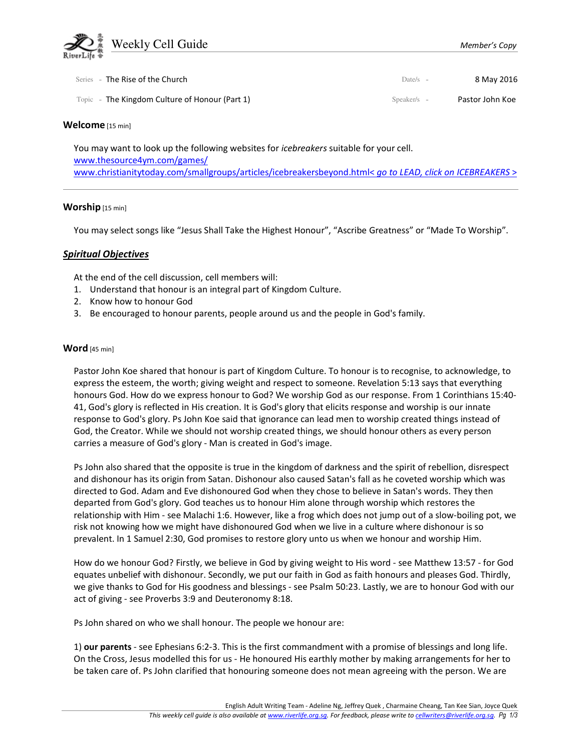

| Series - The Rise of the Church                | Date/s $-$    | 8 May 2016      |
|------------------------------------------------|---------------|-----------------|
| Topic - The Kingdom Culture of Honour (Part 1) | $Speaker/s -$ | Pastor John Koe |

### Welcome [15 min]

You may want to look up the following websites for *icebreakers* suitable for your cell. www.thesource4ym.com/games/ www.christianitytoday.com/smallgroups/articles/icebreakersbeyond.html< go to LEAD, click on ICEBREAKERS >

### Worship [15 min]

You may select songs like "Jesus Shall Take the Highest Honour", "Ascribe Greatness" or "Made To Worship".

## Spiritual Objectives

At the end of the cell discussion, cell members will:

- 1. Understand that honour is an integral part of Kingdom Culture.
- 2. Know how to honour God
- 3. Be encouraged to honour parents, people around us and the people in God's family.

### Word [45 min]

Pastor John Koe shared that honour is part of Kingdom Culture. To honour is to recognise, to acknowledge, to express the esteem, the worth; giving weight and respect to someone. Revelation 5:13 says that everything honours God. How do we express honour to God? We worship God as our response. From 1 Corinthians 15:40- 41, God's glory is reflected in His creation. It is God's glory that elicits response and worship is our innate response to God's glory. Ps John Koe said that ignorance can lead men to worship created things instead of God, the Creator. While we should not worship created things, we should honour others as every person carries a measure of God's glory - Man is created in God's image.

Ps John also shared that the opposite is true in the kingdom of darkness and the spirit of rebellion, disrespect and dishonour has its origin from Satan. Dishonour also caused Satan's fall as he coveted worship which was directed to God. Adam and Eve dishonoured God when they chose to believe in Satan's words. They then departed from God's glory. God teaches us to honour Him alone through worship which restores the relationship with Him - see Malachi 1:6. However, like a frog which does not jump out of a slow-boiling pot, we risk not knowing how we might have dishonoured God when we live in a culture where dishonour is so prevalent. In 1 Samuel 2:30, God promises to restore glory unto us when we honour and worship Him.

How do we honour God? Firstly, we believe in God by giving weight to His word - see Matthew 13:57 - for God equates unbelief with dishonour. Secondly, we put our faith in God as faith honours and pleases God. Thirdly, we give thanks to God for His goodness and blessings - see Psalm 50:23. Lastly, we are to honour God with our act of giving - see Proverbs 3:9 and Deuteronomy 8:18.

Ps John shared on who we shall honour. The people we honour are:

1) our parents - see Ephesians 6:2-3. This is the first commandment with a promise of blessings and long life. On the Cross, Jesus modelled this for us - He honoured His earthly mother by making arrangements for her to be taken care of. Ps John clarified that honouring someone does not mean agreeing with the person. We are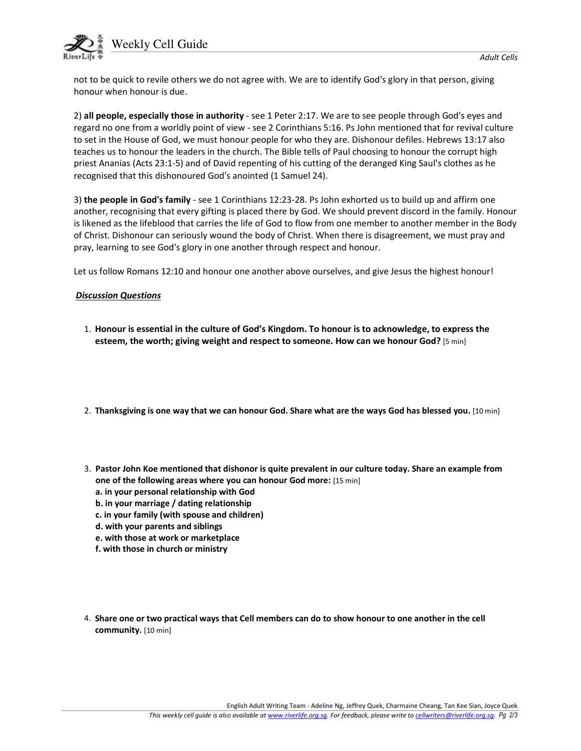

not to be quick to revile others we do not agree with. We are to identify God's glory in that person, giving honour when honour is due.

2) all people, especially those in authority - see 1 Peter 2:17. We are to see people through God's eyes and regard no one from a worldly point of view - see 2 Corinthians 5:16. Ps John mentioned that for revival culture to set in the House of God, we must honour people for who they are. Dishonour defiles. Hebrews 13:17 also teaches us to honour the leaders in the church. The Bible tells of Paul choosing to honour the corrupt high priest Ananias (Acts 23:1-5) and of David repenting of his cutting of the deranged King Saul's clothes as he recognised that this dishonoured God's anointed (1 Samuel 24).

3) the people in God's family - see 1 Corinthians 12:23-28. Ps John exhorted us to build up and affirm one another, recognising that every gifting is placed there by God. We should prevent discord in the family. Honour is likened as the lifeblood that carries the life of God to flow from one member to another member in the Body of Christ. Dishonour can seriously wound the body of Christ. When there is disagreement, we must pray and pray, learning to see God's glory in one another through respect and honour.

Let us follow Romans 12:10 and honour one another above ourselves, and give Jesus the highest honour!

# Discussion Questions

- 1. Honour is essential in the culture of God's Kingdom. To honour is to acknowledge, to express the esteem, the worth; giving weight and respect to someone. How can we honour God? [5 min]
- 2. Thanksgiving is one way that we can honour God. Share what are the ways God has blessed you. [10 min]
- 3. Pastor John Koe mentioned that dishonor is quite prevalent in our culture today. Share an example from one of the following areas where you can honour God more: [15 min]
	- a. in your personal relationship with God
	- b. in your marriage / dating relationship
	- c. in your family (with spouse and children)
	- d. with your parents and siblings
	- e. with those at work or marketplace
	- f. with those in church or ministry
- 4. Share one or two practical ways that Cell members can do to show honour to one another in the cell community. [10 min]